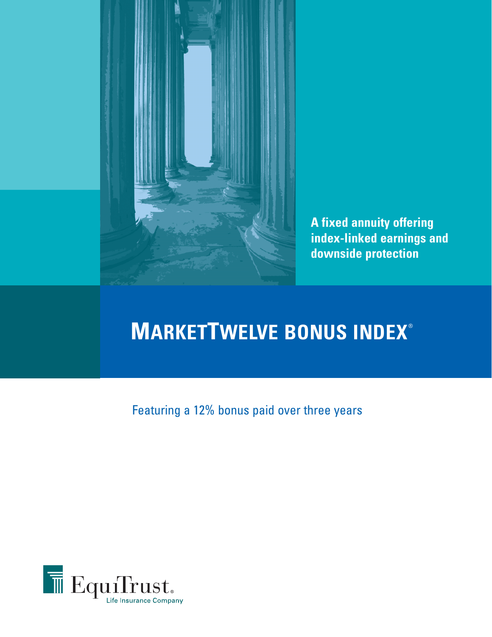

**A fixed annuity offering index-linked earnings and downside protection**

# **MARKETTWELVE BONUS INDEX®**

Featuring a 12% bonus paid over three years

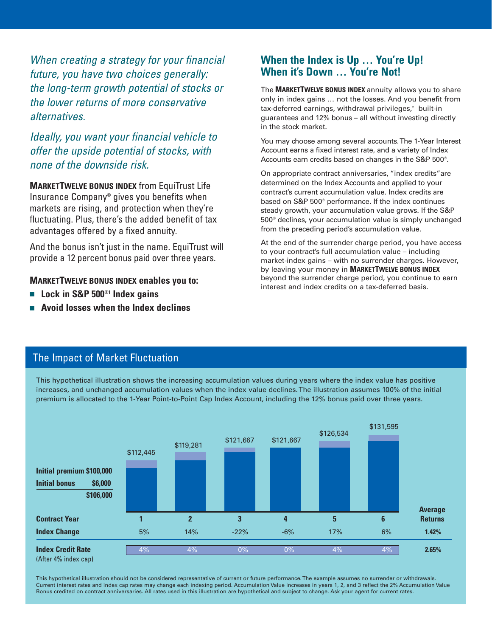When creating a strategy for your financial future, you have two choices generally: the long-term growth potential of stocks or the lower returns of more conservative alternatives.

## Ideally, you want your financial vehicle to offer the upside potential of stocks, with none of the downside risk.

**MARKETTWELVE BONUS INDEX** from EquiTrust Life Insurance Company® gives you benefits when markets are rising, and protection when they're fluctuating. Plus, there's the added benefit of tax advantages offered by a fixed annuity.

And the bonus isn't just in the name. EquiTrust will provide a 12 percent bonus paid over three years.

#### **MARKETTWELVE BONUS INDEX enables you to:**

- Lock in S&P 500<sup>®1</sup> Index gains
- <sup>n</sup> **Avoid losses when the Index declines**

## **When the Index is Up … You're Up! When it's Down … You're Not!**

The **MARKETTWELVE BONUS INDEX** annuity allows you to share only in index gains … not the losses. And you benefit from tax-deferred earnings, withdrawal privileges,<sup>2</sup> built-in guarantees and 12% bonus – all without investing directly in the stock market.

You may choose among several accounts. The 1-Year Interest Account earns a fixed interest rate, and a variety of Index Accounts earn credits based on changes in the S&P 500®.

On appropriate contract anniversaries, "index credits"are determined on the Index Accounts and applied to your contract's current accumulation value. Index credits are based on S&P 500® performance. If the index continues steady growth, your accumulation value grows. If the S&P 500® declines, your accumulation value is simply unchanged from the preceding period's accumulation value.

At the end of the surrender charge period, you have access to your contract's full accumulation value – including market-index gains – with no surrender charges. However, by leaving your money in **MARKETTWELVE BONUS INDEX** beyond the surrender charge period, you continue to earn interest and index credits on a tax-deferred basis.

## The Impact of Market Fluctuation

This hypothetical illustration shows the increasing accumulation values during years where the index value has positive increases, and unchanged accumulation values when the index value declines. The illustration assumes 100% of the initial premium is allocated to the 1-Year Point-to-Point Cap Index Account, including the 12% bonus paid over three years.



This hypothetical illustration should not be considered representative of current or future performance. The example assumes no surrender or withdrawals. Current interest rates and index cap rates may change each indexing period. Accumulation Value increases in years 1, 2, and 3 reflect the 2% Accumulation Value Bonus credited on contract anniversaries. All rates used in this illustration are hypothetical and subject to change. Ask your agent for current rates.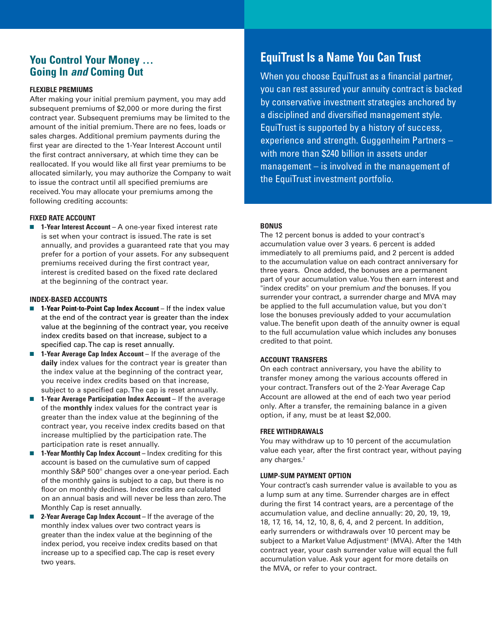## **You Control Your Money … Going In and Coming Out**

#### **FLEXIBLE PREMIUMS**

After making your initial premium payment, you may add subsequent premiums of \$2,000 or more during the first contract year. Subsequent premiums may be limited to the amount of the initial premium. There are no fees, loads or sales charges. Additional premium payments during the first year are directed to the 1-Year Interest Account until the first contract anniversary, at which time they can be reallocated. If you would like all first year premiums to be allocated similarly, you may authorize the Company to wait to issue the contract until all specified premiums are received. You may allocate your premiums among the following crediting accounts:

#### **FIXED RATE ACCOUNT**

■ 1-Year Interest Account – A one-year fixed interest rate is set when your contract is issued. The rate is set annually, and provides a guaranteed rate that you may prefer for a portion of your assets. For any subsequent premiums received during the first contract year, interest is credited based on the fixed rate declared at the beginning of the contract year.

#### **INDEX-BASED ACCOUNTS**

- **n** 1-Year Point-to-Point Cap Index Account If the index value at the end of the contract year is greater than the index value at the beginning of the contract year, you receive index credits based on that increase, subject to a specified cap. The cap is reset annually.
- **n 1-Year Average Cap Index Account** If the average of the **daily** index values for the contract year is greater than the index value at the beginning of the contract year, you receive index credits based on that increase, subject to a specified cap. The cap is reset annually.
- 1-Year Average Participation Index Account If the average of the **monthly** index values for the contract year is greater than the index value at the beginning of the contract year, you receive index credits based on that increase multiplied by the participation rate. The participation rate is reset annually.
- **1-Year Monthly Cap Index Account** Index crediting for this account is based on the cumulative sum of capped monthly S&P 500® changes over a one-year period. Each of the monthly gains is subject to a cap, but there is no floor on monthly declines. Index credits are calculated on an annual basis and will never be less than zero. The Monthly Cap is reset annually.
- **2-Year Average Cap Index Account** If the average of the monthly index values over two contract years is greater than the index value at the beginning of the index period, you receive index credits based on that increase up to a specified cap. The cap is reset every two years.

## **EquiTrust Is a Name You Can Trust**

When you choose EquiTrust as a financial partner, you can rest assured your annuity contract is backed by conservative investment strategies anchored by a disciplined and diversified management style. EquiTrust is supported by a history of success, experience and strength. Guggenheim Partners – with more than \$240 billion in assets under management – is involved in the management of the EquiTrust investment portfolio.

#### **BONUS**

The 12 percent bonus is added to your contract's accumulation value over 3 years. 6 percent is added immediately to all premiums paid, and 2 percent is added to the accumulation value on each contract anniversary for three years. Once added, the bonuses are a permanent part of your accumulation value. You then earn interest and "index credits" on your premium and the bonuses. If you surrender your contract, a surrender charge and MVA may be applied to the full accumulation value, but you don't lose the bonuses previously added to your accumulation value. The benefit upon death of the annuity owner is equal to the full accumulation value which includes any bonuses credited to that point.

#### **ACCOUNT TRANSFERS**

On each contract anniversary, you have the ability to transfer money among the various accounts offered in your contract. Transfers out of the 2-Year Average Cap Account are allowed at the end of each two year period only. After a transfer, the remaining balance in a given option, if any, must be at least \$2,000.

#### **FREE WITHDRAWALS**

You may withdraw up to 10 percent of the accumulation value each year, after the first contract year, without paying any charges.<sup>2</sup>

#### **LUMP-SUM PAYMENT OPTION**

Your contract's cash surrender value is available to you as a lump sum at any time. Surrender charges are in effect during the first 14 contract years, are a percentage of the accumulation value, and decline annually: 20, 20, 19, 19, 18, 17, 16, 14, 12, 10, 8, 6, 4, and 2 percent. In addition, early surrenders or withdrawals over 10 percent may be subject to a Market Value Adjustment<sup>3</sup> (MVA). After the 14th contract year, your cash surrender value will equal the full accumulation value. Ask your agent for more details on the MVA, or refer to your contract.